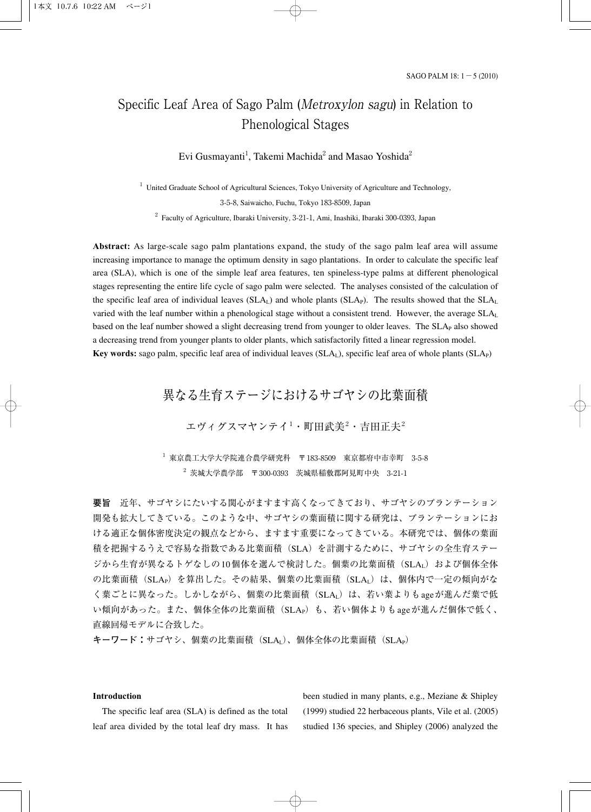# Specific Leaf Area of Sago Palm (Metroxylon sagu) in Relation to Phenological Stages

Evi Gusmayanti<sup>1</sup>, Takemi Machida $^2$  and Masao Yoshida $^2$ 

 $1$  United Graduate School of Agricultural Sciences, Tokyo University of Agriculture and Technology,

3-5-8, Saiwaicho, Fuchu, Tokyo 183-8509, Japan

 $2$  Faculty of Agriculture, Ibaraki University, 3-21-1, Ami, Inashiki, Ibaraki 300-0393, Japan

**Abstract:** As large-scale sago palm plantations expand, the study of the sago palm leaf area will assume increasing importance to manage the optimum density in sago plantations. In order to calculate the specific leaf area (SLA), which is one of the simple leaf area features, ten spineless-type palms at different phenological stages representing the entire life cycle of sago palm were selected. The analyses consisted of the calculation of the specific leaf area of individual leaves  $(SLA<sub>L</sub>)$  and whole plants  $(SLA<sub>P</sub>)$ . The results showed that the  $SLA<sub>L</sub>$ varied with the leaf number within a phenological stage without a consistent trend. However, the average SLAL based on the leaf number showed a slight decreasing trend from younger to older leaves. The SLA<sub>P</sub> also showed a decreasing trend from younger plants to older plants, which satisfactorily fitted a linear regression model. **Key words:** sago palm, specific leaf area of individual leaves  $(SLA<sub>1</sub>)$ , specific leaf area of whole plants  $(SLA<sub>P</sub>)$ 

異なる生育ステージにおけるサゴヤシの比葉面積

エヴィグスマヤンテイ $^1$ ・町田武美 $^2$ ・吉田正夫 $^2$ 

 $^{-1}$  東京農工大学大学院連合農学研究科 〒183-8509 東京都府中市幸町 3-5-8  $2\,$  茨城大学農学部 〒300-0393 茨城県稲敷郡阿見町中央 3-21-1

**要旨** 近年、サゴヤシにたいする関心がますます高くなってきており、サゴヤシのプランテーション 開発も拡大してきている。このような中、サゴヤシの葉面積に関する研究は、プランテーションにお ける適正な個体密度決定の観点などから、ますます重要になってきている。本研究では、個体の葉面 積を把握するうえで容易な指数である比葉面積(SLA)を計測するために、サゴヤシの全生育ステー ジから生育が異なるトゲなしの10個体を選んで検討した。個葉の比葉面積(SLAL)および個体全体 の比葉面積(SLAP)を算出した。その結果、個葉の比葉面積(SLAL)は、個体内で一定の傾向がな く葉ごとに異なった。しかしながら、個葉の比葉面積 (SLA<sub>L</sub>) は、若い葉よりもageが進んだ葉で低 い傾向があった。また、個体全体の比葉面積(SLAp)も、若い個体よりもageが進んだ個体で低く、 直線回帰モデルに合致した。

キーワード:サゴヤシ、個葉の比葉面積 (SLAL)、個体全体の比葉面積 (SLAP)

## **Introduction**

The specific leaf area (SLA) is defined as the total leaf area divided by the total leaf dry mass. It has been studied in many plants, e.g., Meziane & Shipley (1999) studied 22 herbaceous plants, Vile et al. (2005) studied 136 species, and Shipley (2006) analyzed the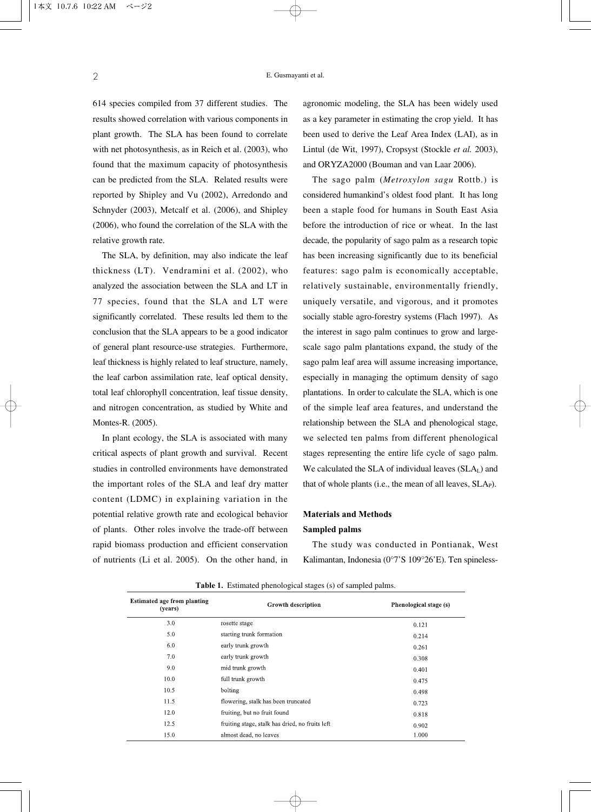614 species compiled from 37 different studies. The results showed correlation with various components in plant growth. The SLA has been found to correlate with net photosynthesis, as in Reich et al. (2003), who found that the maximum capacity of photosynthesis can be predicted from the SLA. Related results were reported by Shipley and Vu (2002), Arredondo and Schnyder (2003), Metcalf et al. (2006), and Shipley (2006), who found the correlation of the SLA with the relative growth rate.

The SLA, by definition, may also indicate the leaf thickness (LT). Vendramini et al. (2002), who analyzed the association between the SLA and LT in 77 species, found that the SLA and LT were significantly correlated. These results led them to the conclusion that the SLA appears to be a good indicator of general plant resource-use strategies. Furthermore, leaf thickness is highly related to leaf structure, namely, the leaf carbon assimilation rate, leaf optical density, total leaf chlorophyll concentration, leaf tissue density, and nitrogen concentration, as studied by White and Montes-R. (2005).

In plant ecology, the SLA is associated with many critical aspects of plant growth and survival. Recent studies in controlled environments have demonstrated the important roles of the SLA and leaf dry matter content (LDMC) in explaining variation in the potential relative growth rate and ecological behavior of plants. Other roles involve the trade-off between rapid biomass production and efficient conservation of nutrients (Li et al. 2005). On the other hand, in

agronomic modeling, the SLA has been widely used as a key parameter in estimating the crop yield. It has been used to derive the Leaf Area Index (LAI), as in Lintul (de Wit, 1997), Cropsyst (Stockle *et al.* 2003), and ORYZA2000 (Bouman and van Laar 2006).

The sago palm (*Metroxylon sagu* Rottb.) is considered humankind's oldest food plant. It has long been a staple food for humans in South East Asia before the introduction of rice or wheat. In the last decade, the popularity of sago palm as a research topic has been increasing significantly due to its beneficial features: sago palm is economically acceptable, relatively sustainable, environmentally friendly, uniquely versatile, and vigorous, and it promotes socially stable agro-forestry systems (Flach 1997). As the interest in sago palm continues to grow and largescale sago palm plantations expand, the study of the sago palm leaf area will assume increasing importance, especially in managing the optimum density of sago plantations. In order to calculate the SLA, which is one of the simple leaf area features, and understand the relationship between the SLA and phenological stage, we selected ten palms from different phenological stages representing the entire life cycle of sago palm. We calculated the SLA of individual leaves  $(SLA<sub>L</sub>)$  and that of whole plants (i.e., the mean of all leaves,  $SLAp$ ).

# **Materials and Methods Sampled palms**

The study was conducted in Pontianak, West Kalimantan, Indonesia (0°7'S 109°26'E). Ten spineless-

| <b>Estimated age from planting</b><br>(vears) | <b>Growth description</b>                       | Phenological stage (s) |
|-----------------------------------------------|-------------------------------------------------|------------------------|
| 3.0                                           | rosette stage                                   | 0.121                  |
| 5.0                                           | starting trunk formation                        | 0.214                  |
| 6.0                                           | early trunk growth                              | 0.261                  |
| 7.0                                           | early trunk growth                              | 0.308                  |
| 9.0                                           | mid trunk growth                                | 0.401                  |
| 10.0                                          | full trunk growth                               | 0.475                  |
| 10.5                                          | bolting                                         | 0.498                  |
| 11.5                                          | flowering, stalk has been truncated             | 0.723                  |
| 12.0                                          | fruiting, but no fruit found                    | 0.818                  |
| 12.5                                          | fruiting stage, stalk has dried, no fruits left | 0.902                  |
| 15.0                                          | almost dead, no leaves                          | 1.000                  |

**Table 1.** Estimated phenological stages (s) of sampled palms.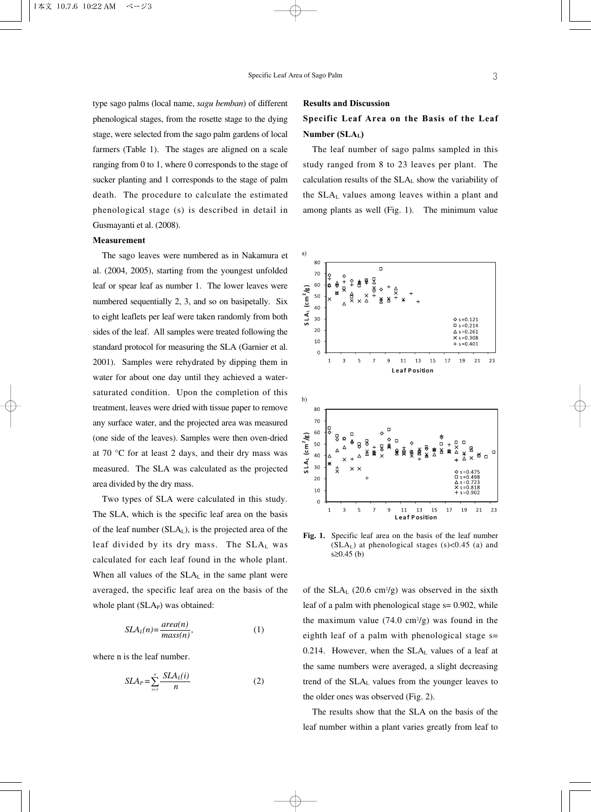type sago palms (local name, *sagu bemban*) of different phenological stages, from the rosette stage to the dying stage, were selected from the sago palm gardens of local farmers (Table 1). The stages are aligned on a scale ranging from 0 to 1, where 0 corresponds to the stage of sucker planting and 1 corresponds to the stage of palm death. The procedure to calculate the estimated phenological stage (s) is described in detail in Gusmayanti et al. (2008).

### **Measurement**

The sago leaves were numbered as in Nakamura et al. (2004, 2005), starting from the youngest unfolded leaf or spear leaf as number 1. The lower leaves were numbered sequentially 2, 3, and so on basipetally. Six to eight leaflets per leaf were taken randomly from both sides of the leaf. All samples were treated following the standard protocol for measuring the SLA (Garnier et al. 2001). Samples were rehydrated by dipping them in water for about one day until they achieved a watersaturated condition. Upon the completion of this treatment, leaves were dried with tissue paper to remove any surface water, and the projected area was measured (one side of the leaves). Samples were then oven-dried at 70 °C for at least 2 days, and their dry mass was measured. The SLA was calculated as the projected area divided by the dry mass.

Two types of SLA were calculated in this study. The SLA, which is the specific leaf area on the basis of the leaf number (SLAL), is the projected area of the leaf divided by its dry mass. The SLAL was calculated for each leaf found in the whole plant. When all values of the SLA<sub>L</sub> in the same plant were averaged, the specific leaf area on the basis of the whole plant (SLA<sub>P</sub>) was obtained:

$$
SLAL(n) = \frac{area(n)}{mass(n)},
$$
 (1)

where n is the leaf number.

$$
SLA_P = \sum_{i=1}^n \frac{SLA_L(i)}{n} \tag{2}
$$

#### **Results and Discussion**

# **Specific Leaf Area on the Basis of the Leaf Number (SLAL)**

The leaf number of sago palms sampled in this study ranged from 8 to 23 leaves per plant. The calculation results of the SLAL show the variability of the SLAL values among leaves within a plant and among plants as well (Fig. 1). The minimum value



**Fig. 1.** Specific leaf area on the basis of the leaf number  $(SLA<sub>L</sub>)$  at phenological stages  $(s)$ <0.45 (a) and s≥0.45 (b)

of the  $SLA_L$  (20.6 cm<sup>2</sup>/g) was observed in the sixth leaf of a palm with phenological stage  $s = 0.902$ , while the maximum value  $(74.0 \text{ cm}^2/\text{g})$  was found in the eighth leaf of a palm with phenological stage s= 0.214. However, when the  $SLA<sub>L</sub>$  values of a leaf at the same numbers were averaged, a slight decreasing trend of the  $SLA<sub>L</sub>$  values from the younger leaves to the older ones was observed (Fig. 2).

The results show that the SLA on the basis of the leaf number within a plant varies greatly from leaf to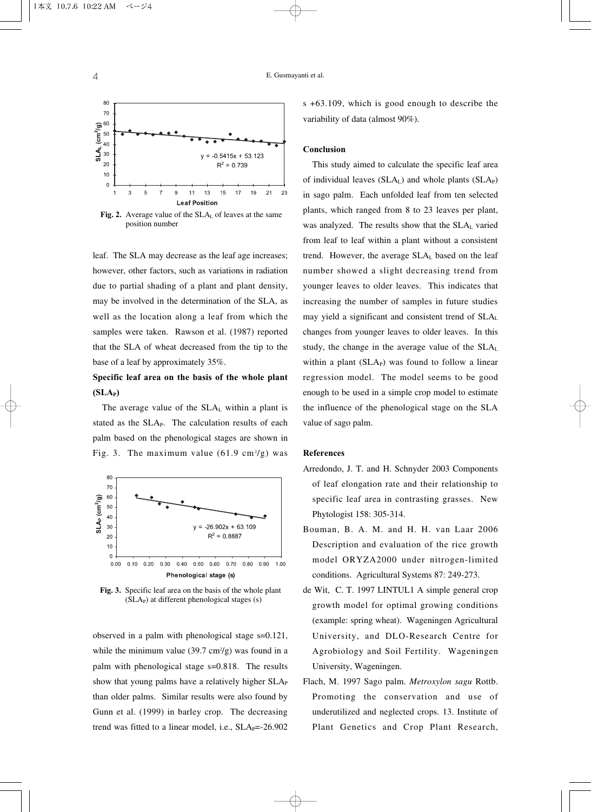

position number

leaf. The SLA may decrease as the leaf age increases; however, other factors, such as variations in radiation due to partial shading of a plant and plant density, may be involved in the determination of the SLA, as well as the location along a leaf from which the samples were taken. Rawson et al. (1987) reported that the SLA of wheat decreased from the tip to the base of a leaf by approximately 35%.

# **Specific leaf area on the basis of the whole plant (SLA<sub>P</sub>)**

The average value of the SLAL within a plant is stated as the SLA<sub>P</sub>. The calculation results of each palm based on the phenological stages are shown in Fig. 3. The maximum value  $(61.9 \text{ cm}^2/\text{g})$  was



**Fig. 3.** Specific leaf area on the basis of the whole plant (SLAP) at different phenological stages (s)

observed in a palm with phenological stage s=0.121, while the minimum value  $(39.7 \text{ cm}^2/\text{g})$  was found in a palm with phenological stage s=0.818. The results show that young palms have a relatively higher SLA<sub>P</sub> than older palms. Similar results were also found by Gunn et al. (1999) in barley crop. The decreasing trend was fitted to a linear model, i.e.,  $SLA<sub>P</sub>=-26.902$ 

s +63.109, which is good enough to describe the variability of data (almost 90%).

### **Conclusion**

This study aimed to calculate the specific leaf area of individual leaves  $(SLA<sub>L</sub>)$  and whole plants  $(SLA<sub>P</sub>)$ in sago palm. Each unfolded leaf from ten selected plants, which ranged from 8 to 23 leaves per plant, was analyzed. The results show that the SLA<sub>L</sub> varied from leaf to leaf within a plant without a consistent trend. However, the average SLAL based on the leaf number showed a slight decreasing trend from younger leaves to older leaves. This indicates that increasing the number of samples in future studies may yield a significant and consistent trend of SLAL changes from younger leaves to older leaves. In this study, the change in the average value of the SLAL within a plant  $(SLA<sub>P</sub>)$  was found to follow a linear regression model. The model seems to be good enough to be used in a simple crop model to estimate the influence of the phenological stage on the SLA value of sago palm.

### **References**

- Arredondo, J. T. and H. Schnyder 2003 Components of leaf elongation rate and their relationship to specific leaf area in contrasting grasses. New Phytologist 158: 305-314.
- Bouman, B. A. M. and H. H. van Laar 2006 Description and evaluation of the rice growth model ORYZA2000 under nitrogen-limited conditions. Agricultural Systems 87: 249-273.
- de Wit, C. T. 1997 LINTUL1 A simple general crop growth model for optimal growing conditions (example: spring wheat). Wageningen Agricultural University, and DLO-Research Centre for Agrobiology and Soil Fertility. Wageningen University, Wageningen.
- Flach, M. 1997 Sago palm. *Metroxylon sagu* Rottb. Promoting the conservation and use of underutilized and neglected crops. 13. Institute of Plant Genetics and Crop Plant Research,